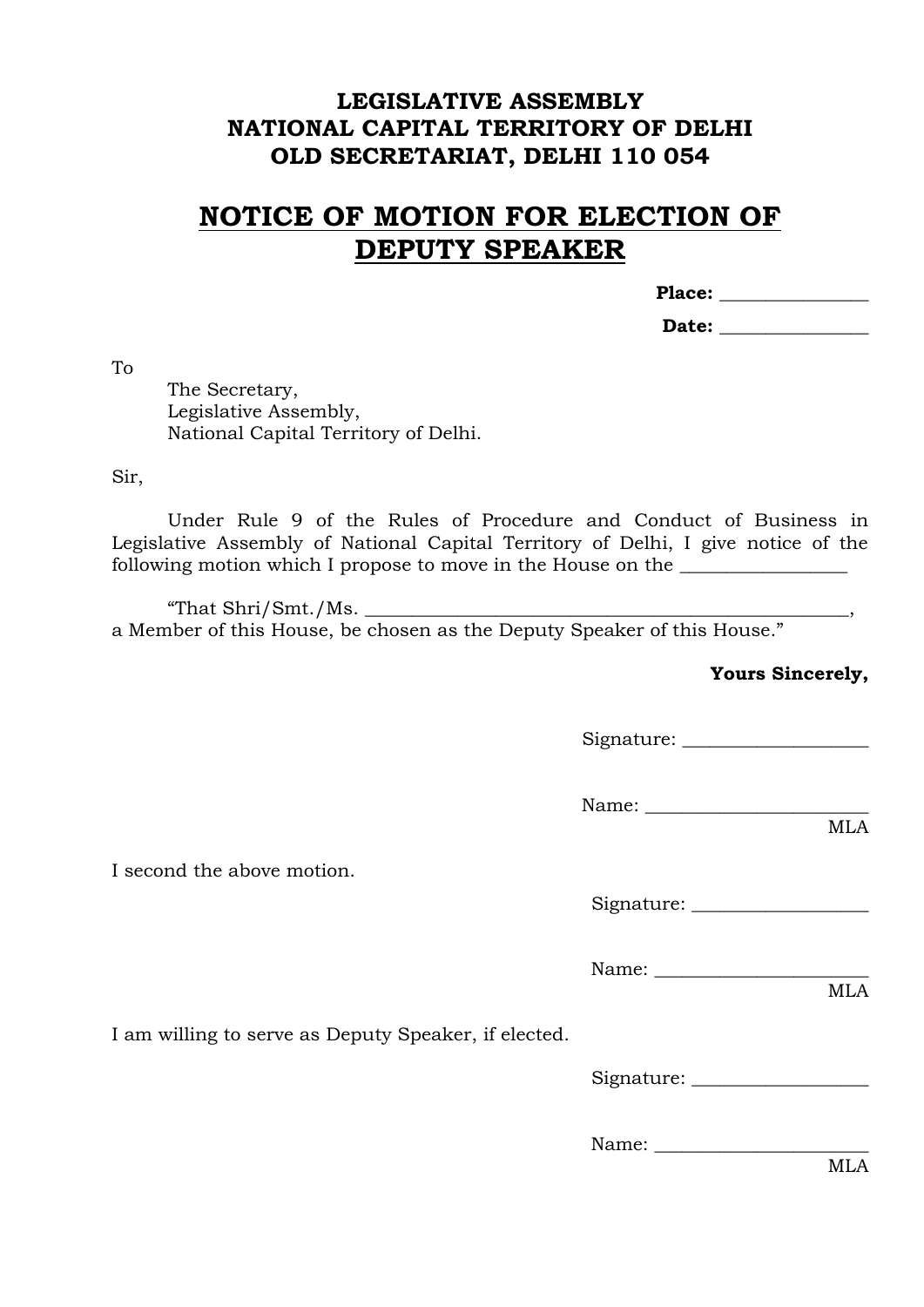## **LEGISLATIVE ASSEMBLY NATIONAL CAPITAL TERRITORY OF DELHI OLD SECRETARIAT, DELHI 110 054**

## **NOTICE OF MOTION FOR ELECTION OF DEPUTY SPEAKER**

**Place: \_\_\_\_\_\_\_\_\_\_\_\_\_\_\_\_**

| Date: |  |
|-------|--|
|       |  |

To

The Secretary, Legislative Assembly, National Capital Territory of Delhi.

Sir,

Under Rule 9 of the Rules of Procedure and Conduct of Business in Legislative Assembly of National Capital Territory of Delhi, I give notice of the following motion which I propose to move in the House on the \_\_\_\_\_\_\_\_\_\_\_\_\_\_\_\_\_\_\_

"That  $\rm Shri/Smt./Ms$ . a Member of this House, be chosen as the Deputy Speaker of this House."

**Yours Sincerely,**

Signature: \_\_\_\_\_\_\_\_\_\_\_\_\_\_\_\_\_\_\_\_

Name: \_\_\_\_\_\_\_\_\_\_\_\_\_\_\_\_\_\_\_\_\_\_\_\_ MLA

I second the above motion.

Signature: \_\_\_\_\_\_\_\_\_\_\_\_\_\_\_\_\_\_\_

Name: \_\_\_\_\_\_\_\_\_\_\_\_\_\_\_\_\_\_\_\_\_\_\_

I am willing to serve as Deputy Speaker, if elected.

Signature: \_\_\_\_\_\_\_\_\_\_\_\_\_\_\_\_\_\_\_

Name:

MLA

MLA